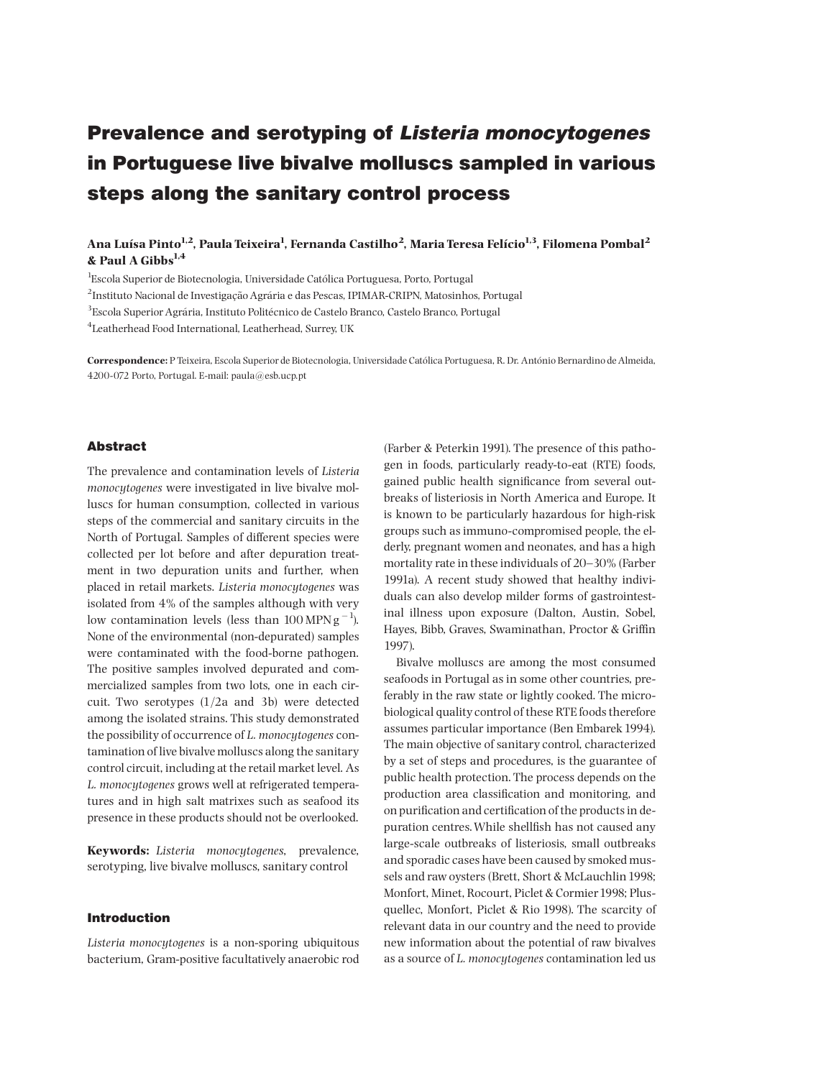# Prevalence and serotyping of Listeria monocytogenes in Portuguese live bivalve molluscs sampled in various steps along the sanitary control process

Ana Luísa Pinto<sup>1,2</sup>, Paula Teixeira<sup>1</sup>, Fernanda Castilho<sup>2</sup>, Maria Teresa Felício<sup>1,3</sup>, Filomena Pombal<sup>2</sup> & Paul A Gibbs $^{1,4}$ 

<sup>1</sup>Escola Superior de Biotecnologia, Universidade Católica Portuguesa, Porto, Portugal

 $^{2}$ Instituto Nacional de Investigação Agrária e das Pescas, IPIMAR-CRIPN, Matosinhos, Portugal

 $3$ Escola Superior Agrária, Instituto Politécnico de Castelo Branco, Castelo Branco, Portugal

4 Leatherhead Food International, Leatherhead, Surrey, UK

Correspondence: P Teixeira, Escola Superior de Biotecnologia, Universidade Católica Portuguesa, R. Dr. António Bernardino de Almeida, 4200-072 Porto, Portugal. E-mail: paula@esb.ucp.pt

### Abstract

The prevalence and contamination levels of Listeria monocytogenes were investigated in live bivalve molluscs for human consumption, collected in various steps of the commercial and sanitary circuits in the North of Portugal. Samples of different species were collected per lot before and after depuration treatment in two depuration units and further, when placed in retail markets. Listeria monocytogenes was isolated from 4% of the samples although with very low contamination levels (less than  $100 \,\text{MPN}\,\text{g}^{-1}$ ). None of the environmental (non-depurated) samples were contaminated with the food-borne pathogen. The positive samples involved depurated and commercialized samples from two lots, one in each circuit. Two serotypes (1/2a and 3b) were detected among the isolated strains. This study demonstrated the possibility of occurrence of L. monocytogenes contamination of live bivalve molluscs along the sanitary control circuit, including at the retail market level. As L. monocytogenes grows well at refrigerated temperatures and in high salt matrixes such as seafood its presence in these products should not be overlooked.

Keywords: Listeria monocytogenes, prevalence, serotyping, live bivalve molluscs, sanitary control

## Introduction

Listeria monocytogenes is a non-sporing ubiquitous bacterium, Gram-positive facultatively anaerobic rod (Farber & Peterkin 1991). The presence of this pathogen in foods, particularly ready-to-eat (RTE) foods, gained public health significance from several outbreaks of listeriosis in North America and Europe. It is known to be particularly hazardous for high-risk groups such as immuno-compromised people, the elderly, pregnant women and neonates, and has a high mortality rate in these individuals of 20^30% (Farber 1991a). A recent study showed that healthy individuals can also develop milder forms of gastrointestinal illness upon exposure (Dalton, Austin, Sobel, Hayes, Bibb, Graves, Swaminathan, Proctor & Griffin 1997).

Bivalve molluscs are among the most consumed seafoods in Portugal as in some other countries, preferably in the raw state or lightly cooked. The microbiological quality control of these RTE foods therefore assumes particular importance (Ben Embarek 1994). The main objective of sanitary control, characterized by a set of steps and procedures, is the guarantee of public health protection. The process depends on the production area classification and monitoring, and on purification and certification of the products in depuration centres. While shellfish has not caused any large-scale outbreaks of listeriosis, small outbreaks and sporadic cases have been caused by smoked mussels and raw oysters (Brett, Short & McLauchlin 1998; Monfort, Minet, Rocourt, Piclet & Cormier1998; Plusquellec, Monfort, Piclet & Rio 1998). The scarcity of relevant data in our country and the need to provide new information about the potential of raw bivalves as a source of L. monocytogenes contamination led us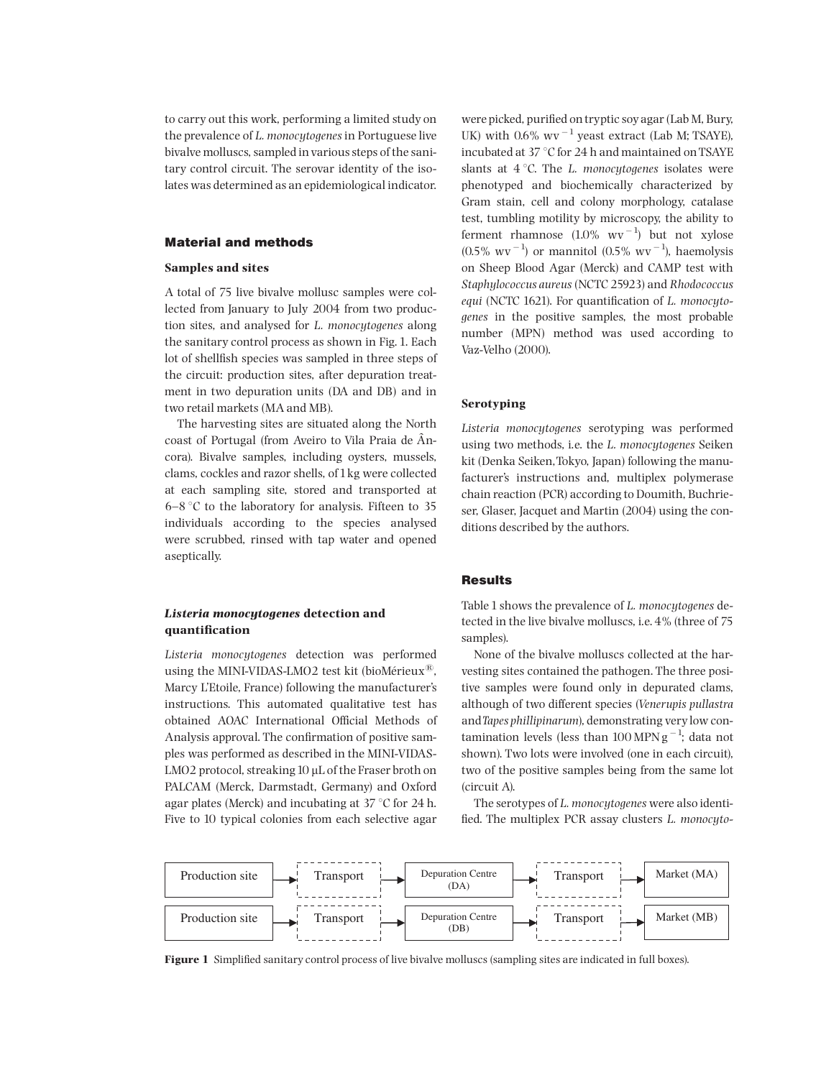to carry out this work, performing a limited study on the prevalence of L. monocytogenes in Portuguese live bivalve molluscs, sampled in various steps of the sanitary control circuit. The serovar identity of the isolates was determined as an epidemiological indicator.

## Material and methods

#### Samples and sites

A total of 75 live bivalve mollusc samples were collected from January to July 2004 from two production sites, and analysed for L. monocytogenes along the sanitary control process as shown in Fig. 1. Each lot of shellfish species was sampled in three steps of the circuit: production sites, after depuration treatment in two depuration units (DA and DB) and in two retail markets (MA and MB).

The harvesting sites are situated along the North coast of Portugal (from Aveiro to Vila Praia de  $\rm \AA n$ cora). Bivalve samples, including oysters, mussels, clams, cockles and razor shells, of 1kg were collected at each sampling site, stored and transported at  $6-8$  °C to the laboratory for analysis. Fifteen to 35 individuals according to the species analysed were scrubbed, rinsed with tap water and opened aseptically.

## Listeria monocytogenes detection and quantification

Listeria monocytogenes detection was performed using the MINI-VIDAS-LMO2 test kit (bioMérieux $^{\textcircled{\tiny{(B)}}}$ , Marcy L'Etoile, France) following the manufacturer's instructions. This automated qualitative test has obtained AOAC International Official Methods of Analysis approval. The confirmation of positive samples was performed as described in the MINI-VIDAS-LMO2 protocol, streaking  $10 \mu$ L of the Fraser broth on PALCAM (Merck, Darmstadt, Germany) and Oxford agar plates (Merck) and incubating at  $37^{\circ}$ C for 24 h. Five to 10 typical colonies from each selective agar

were picked, purified on tryptic soy agar (Lab M, Bury, UK) with  $0.6\%$  wv<sup> $-1$ </sup> yeast extract (Lab M; TSAYE), incubated at 37  $\degree$ C for 24 h and maintained on TSAYE slants at  $4^{\circ}$ C. The L. monocytogenes isolates were phenotyped and biochemically characterized by Gram stain, cell and colony morphology, catalase test, tumbling motility by microscopy, the ability to ferment rhamnose  $(1.0\% \text{ wv}^{-1})$  but not xylose  $(0.5\% \text{ wV}^{-1})$  or mannitol  $(0.5\% \text{ wV}^{-1})$ , haemolysis on Sheep Blood Agar (Merck) and CAMP test with Staphylococcus aureus(NCTC 25923) and Rhodococcus equi (NCTC 1621). For quantification of  $L$ . monocytogenes in the positive samples, the most probable number (MPN) method was used according to Vaz-Velho (2000).

#### Serotyping

Listeria monocytogenes serotyping was performed using two methods, i.e. the L. monocytogenes Seiken kit (Denka Seiken,Tokyo, Japan) following the manufacturer's instructions and, multiplex polymerase chain reaction (PCR) according to Doumith, Buchrieser, Glaser, Jacquet and Martin (2004) using the conditions described by the authors.

## **Results**

Table 1 shows the prevalence of L. monocytogenes detected in the live bivalve molluscs, i.e. 4% (three of 75 samples).

None of the bivalve molluscs collected at the harvesting sites contained the pathogen. The three positive samples were found only in depurated clams, although of two different species (Venerupis pullastra andTapes phillipinarum), demonstrating very low contamination levels (less than  $100 \text{ MPN g}^{-1}$ ; data not shown). Two lots were involved (one in each circuit), two of the positive samples being from the same lot (circuit A).

The serotypes of L. monocytogenes were also identi fied. The multiplex PCR assay clusters L. monocyto-



Figure 1 Simplified sanitary control process of live bivalve molluscs (sampling sites are indicated in full boxes).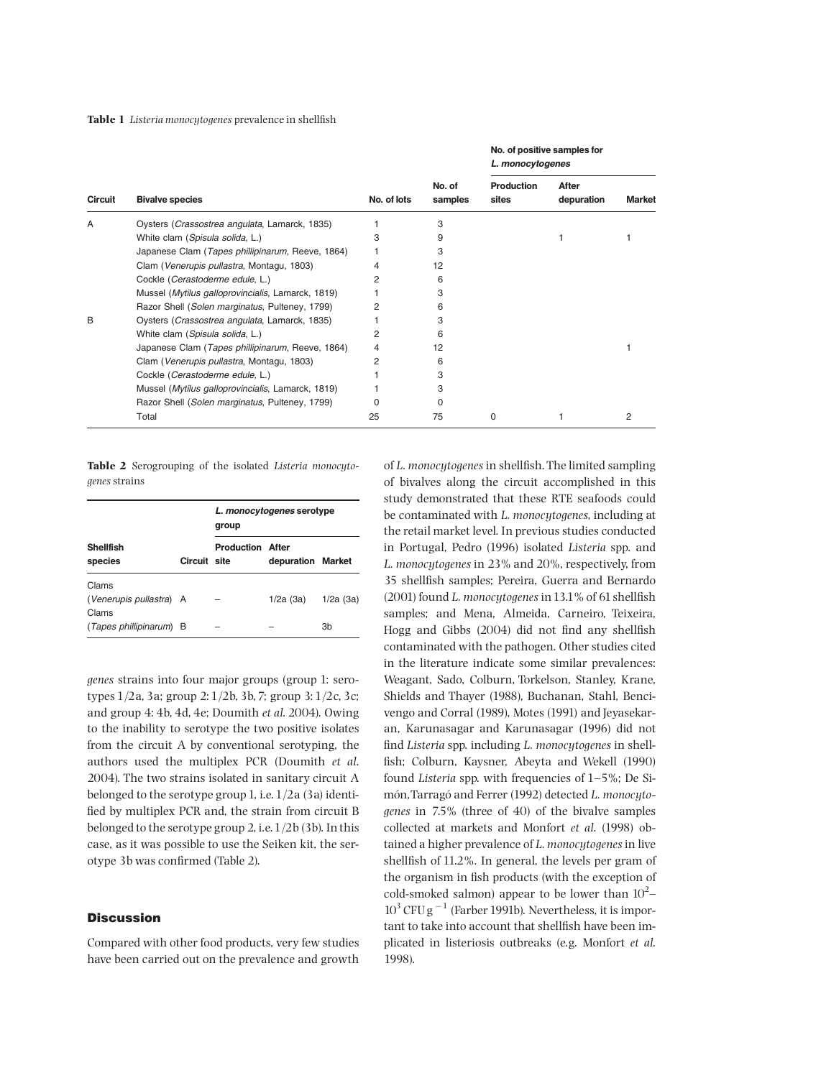Table 1 Listeria monocytogenes prevalence in shellfish

| Circuit | <b>Bivalve species</b>                            | No. of lots | No. of<br>samples | No. of positive samples for<br>L. monocytogenes |                     |                |
|---------|---------------------------------------------------|-------------|-------------------|-------------------------------------------------|---------------------|----------------|
|         |                                                   |             |                   | <b>Production</b><br>sites                      | After<br>depuration | <b>Market</b>  |
| A       | Oysters (Crassostrea angulata, Lamarck, 1835)     |             | 3                 |                                                 |                     |                |
|         | White clam (Spisula solida, L.)                   | 3           | 9                 |                                                 |                     |                |
|         | Japanese Clam (Tapes phillipinarum, Reeve, 1864)  |             | 3                 |                                                 |                     |                |
|         | Clam (Venerupis pullastra, Montagu, 1803)         | 4           | 12                |                                                 |                     |                |
|         | Cockle (Cerastoderme edule, L.)                   | 2           | 6                 |                                                 |                     |                |
|         | Mussel (Mytilus galloprovincialis, Lamarck, 1819) |             | 3                 |                                                 |                     |                |
|         | Razor Shell (Solen marginatus, Pulteney, 1799)    |             | 6                 |                                                 |                     |                |
| B       | Oysters (Crassostrea angulata, Lamarck, 1835)     |             | 3                 |                                                 |                     |                |
|         | White clam (Spisula solida, L.)                   | 2           | 6                 |                                                 |                     |                |
|         | Japanese Clam (Tapes phillipinarum, Reeve, 1864)  | 4           | 12                |                                                 |                     |                |
|         | Clam (Venerupis pullastra, Montagu, 1803)         | 2           | 6                 |                                                 |                     |                |
|         | Cockle (Cerastoderme edule, L.)                   |             | 3                 |                                                 |                     |                |
|         | Mussel (Mytilus galloprovincialis, Lamarck, 1819) |             | 3                 |                                                 |                     |                |
|         | Razor Shell (Solen marginatus, Pulteney, 1799)    |             | O                 |                                                 |                     |                |
|         | Total                                             | 25          | 75                | 0                                               |                     | $\overline{2}$ |

Table 2 Serogrouping of the isolated Listeria monocytogenes strains

|                                           |              | L. monocytogenes serotype<br>group |                   |                |  |  |  |
|-------------------------------------------|--------------|------------------------------------|-------------------|----------------|--|--|--|
| <b>Shellfish</b><br>species               | Circuit site | <b>Production After</b>            | depuration Market |                |  |  |  |
| Clams<br>(Venerupis pullastra) A<br>Clams |              |                                    | 1/2a(3a)          | 1/2a(3a)       |  |  |  |
| (Tapes phillipinarum) B                   |              |                                    |                   | 3 <sub>b</sub> |  |  |  |

genes strains into four major groups (group 1: serotypes 1/2a, 3a; group 2: 1/2b, 3b, 7; group 3: 1/2c, 3c; and group 4: 4b, 4d, 4e; Doumith et al. 2004). Owing to the inability to serotype the two positive isolates from the circuit A by conventional serotyping, the authors used the multiplex PCR (Doumith et al. 2004). The two strains isolated in sanitary circuit A belonged to the serotype group 1, i.e.1/2a (3a) identi fied by multiplex PCR and, the strain from circuit B belonged to the serotype group 2, i.e.1/2b (3b). In this case, as it was possible to use the Seiken kit, the serotype 3b was confirmed (Table 2).

## **Discussion**

Compared with other food products, very few studies have been carried out on the prevalence and growth of L. monocytogenes in shellfish. The limited sampling of bivalves along the circuit accomplished in this study demonstrated that these RTE seafoods could be contaminated with L. monocytogenes, including at the retail market level. In previous studies conducted in Portugal, Pedro (1996) isolated Listeria spp. and L. monocytogenes in 23% and 20%, respectively, from 35 shellfish samples; Pereira, Guerra and Bernardo (2001) found L. monocytogenes in  $13.1\%$  of 61 shellfish samples; and Mena, Almeida, Carneiro, Teixeira, Hogg and Gibbs  $(2004)$  did not find any shellfish contaminated with the pathogen. Other studies cited in the literature indicate some similar prevalences: Weagant, Sado, Colburn, Torkelson, Stanley, Krane, Shields and Thayer (1988), Buchanan, Stahl, Bencivengo and Corral (1989), Motes (1991) and Jeyasekaran, Karunasagar and Karunasagar (1996) did not find Listeria spp. including L. monocytogenes in shellfish; Colburn, Kaysner, Abeyta and Wekell (1990) found Listeria spp. with frequencies of  $1-5$ %; De Simón, Tarragó and Ferrer (1992) detected L. monocytogenes in 7.5% (three of 40) of the bivalve samples collected at markets and Monfort et al. (1998) obtained a higher prevalence of L. monocytogenes in live shellfish of 11.2%. In general, the levels per gram of the organism in fish products (with the exception of cold-smoked salmon) appear to be lower than  $10^2$ - $10^3$  CFU g<sup>-1</sup> (Farber 1991b). Nevertheless, it is important to take into account that shellfish have been implicated in listeriosis outbreaks (e.g. Monfort et al. 1998).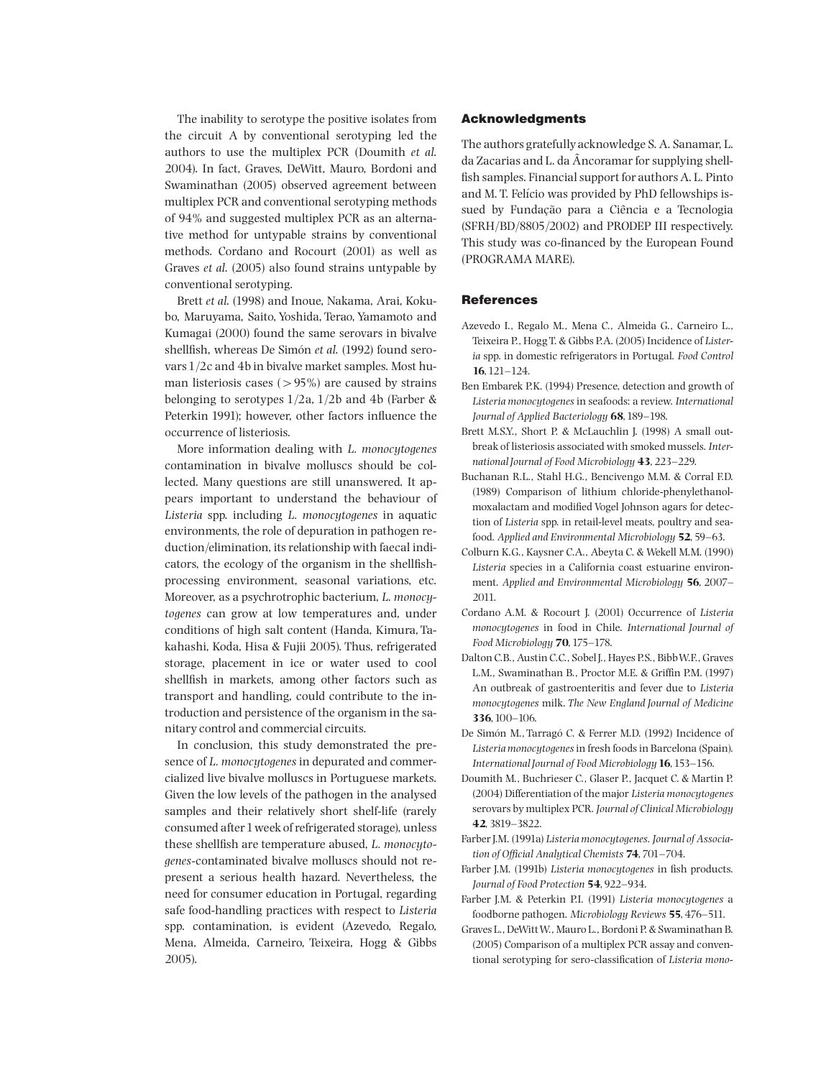The inability to serotype the positive isolates from the circuit A by conventional serotyping led the authors to use the multiplex PCR (Doumith et al. 2004). In fact, Graves, DeWitt, Mauro, Bordoni and Swaminathan (2005) observed agreement between multiplex PCR and conventional serotyping methods of 94% and suggested multiplex PCR as an alternative method for untypable strains by conventional methods. Cordano and Rocourt (2001) as well as Graves et al. (2005) also found strains untypable by conventional serotyping.

Brett et al. (1998) and Inoue, Nakama, Arai, Kokubo, Maruyama, Saito, Yoshida, Terao, Yamamoto and Kumagai (2000) found the same serovars in bivalve shellfish, whereas De Simón et al. (1992) found serovars1/2c and 4b in bivalve market samples. Most human listeriosis cases ( $> 95\%$ ) are caused by strains belonging to serotypes 1/2a, 1/2b and 4b (Farber & Peterkin 1991); however, other factors influence the occurrence of listeriosis.

More information dealing with L. monocytogenes contamination in bivalve molluscs should be collected. Many questions are still unanswered. It appears important to understand the behaviour of Listeria spp. including L. monocytogenes in aquatic environments, the role of depuration in pathogen reduction/elimination, its relationship with faecal indicators, the ecology of the organism in the shellfishprocessing environment, seasonal variations, etc. Moreover, as a psychrotrophic bacterium, L. monocytogenes can grow at low temperatures and, under conditions of high salt content (Handa, Kimura, Takahashi, Koda, Hisa & Fujii 2005). Thus, refrigerated storage, placement in ice or water used to cool shellfish in markets, among other factors such as transport and handling, could contribute to the introduction and persistence of the organism in the sanitary control and commercial circuits.

In conclusion, this study demonstrated the presence of L. *monocytogenes* in depurated and commercialized live bivalve molluscs in Portuguese markets. Given the low levels of the pathogen in the analysed samples and their relatively short shelf-life (rarely consumed after1week of refrigerated storage), unless these shellfish are temperature abused, L. monocytogenes-contaminated bivalve molluscs should not represent a serious health hazard. Nevertheless, the need for consumer education in Portugal, regarding safe food-handling practices with respect to Listeria spp. contamination, is evident (Azevedo, Regalo, Mena, Almeida, Carneiro, Teixeira, Hogg & Gibbs 2005).

## Acknowledgments

The authors gratefully acknowledge S. A. Sanamar, L. da Zacarias and L. da  $\tilde{A}$ ncoramar for supplying shellfish samples. Financial support for authors A. L. Pinto and M. T. Felício was provided by PhD fellowships issued by Fundação para a Ciência e a Tecnologia (SFRH/BD/8805/2002) and PRODEP III respectively. This study was co-financed by the European Found (PROGRAMA MARE).

#### References

- Azevedo I., Regalo M., Mena C., Almeida G., Carneiro L., Teixeira P., Hogg T. & Gibbs P.A. (2005) Incidence of Listeria spp. in domestic refrigerators in Portugal. Food Control  $16, 121 - 124.$
- Ben Embarek P.K. (1994) Presence, detection and growth of Listeria monocytogenes in seafoods: a review. International Journal of Applied Bacteriology 68, 189-198.
- Brett M.S.Y., Short P. & McLauchlin J. (1998) A small outbreak of listeriosis associated with smoked mussels. International Journal of Food Microbiology 43, 223-229.
- Buchanan R.L., Stahl H.G., Bencivengo M.M. & Corral F.D. (1989) Comparison of lithium chloride-phenylethanolmoxalactam and modified Vogel Johnson agars for detection of Listeria spp. in retail-level meats, poultry and seafood. Applied and Environmental Microbiology 52, 59-63.
- Colburn K.G., Kaysner C.A., Abeyta C. & Wekell M.M. (1990) Listeria species in a California coast estuarine environment. Applied and Environmental Microbiology 56, 2007-2011.
- Cordano A.M. & Rocourt J. (2001) Occurrence of Listeria monocytogenes in food in Chile. International Journal of Food Microbiology **70**, 175-178.
- Dalton C.B., Austin C.C., Sobel J., Hayes P.S., Bibb W.F., Graves L.M., Swaminathan B., Proctor M.E. & Griffin P.M. (1997) An outbreak of gastroenteritis and fever due to Listeria monocytogenes milk. The New England Journal of Medicine 336,100^106.
- De Simón M., Tarragó C. & Ferrer M.D. (1992) Incidence of Listeria monocytogenes in fresh foods in Barcelona (Spain). International Journal of Food Microbiology 16, 153-156.
- Doumith M., Buchrieser C., Glaser P., Jacquet C. & Martin P. (2004) Differentiation of the major Listeria monocytogenes serovars by multiplex PCR. Journal of Clinical Microbiology 42, 3819^3822.
- Farber J.M. (1991a) Listeria monocytogenes. Journal of Association of Official Analytical Chemists  $74$ , 701-704.
- Farber J.M. (1991b) Listeria monocytogenes in fish products. Journal of Food Protection 54, 922-934.
- Farber J.M. & Peterkin P.I. (1991) Listeria monocytogenes a foodborne pathogen. Microbiology Reviews 55, 476-511.
- Graves L., DeWittW., Mauro L., Bordoni P. & Swaminathan B. (2005) Comparison of a multiplex PCR assay and conventional serotyping for sero-classification of Listeria mono-